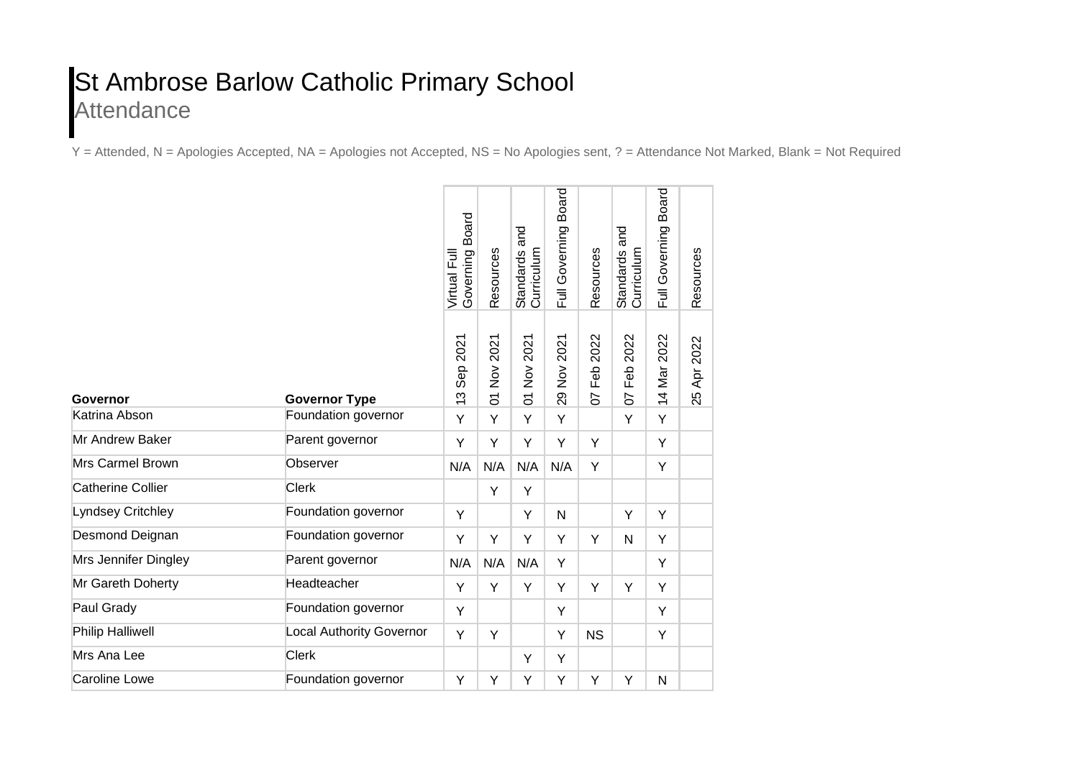## St Ambrose Barlow Catholic Primary School **Attendance**

Y = Attended, N = Apologies Accepted, NA = Apologies not Accepted, NS = No Apologies sent, ? = Attendance Not Marked, Blank = Not Required

| Governor                 | <b>Governor Type</b>            | <b>Board</b><br>Governing<br>Virtual Full     | Resources     | and<br>Standards a<br>Curriculum                                     | <b>Board</b><br>Full Governing                          | Resources         | Standards and<br>Curriculum | Board<br>Governing<br>$\bar{=}$ | Resources          |
|--------------------------|---------------------------------|-----------------------------------------------|---------------|----------------------------------------------------------------------|---------------------------------------------------------|-------------------|-----------------------------|---------------------------------|--------------------|
|                          |                                 | 2021<br>Sep:<br>ო<br>$\overline{\phantom{0}}$ | Nov 2021<br>5 | 2021<br>$\stackrel{\textstyle{>}}{\textstyle\sim}$<br>$\overline{5}$ | 2021<br>$\stackrel{\textstyle{>}}{\textstyle\sim}$<br>8 | 2022<br>Feb<br>50 | 2022<br>Feb<br>5            | 2022<br>Mar<br>$\overline{4}$   | 2022<br>Apr.<br>25 |
| Katrina Abson            | Foundation governor             | Y                                             | Y             | Y                                                                    | Y                                                       |                   | Y                           | Y                               |                    |
| <b>Mr Andrew Baker</b>   | Parent governor                 | Y                                             | Y             | Y                                                                    | Y                                                       | Y                 |                             | Y                               |                    |
| Mrs Carmel Brown         | Observer                        | N/A                                           | N/A           | N/A                                                                  | N/A                                                     | Y                 |                             | Υ                               |                    |
| <b>Catherine Collier</b> | <b>Clerk</b>                    |                                               | Y             | Y                                                                    |                                                         |                   |                             |                                 |                    |
| Lyndsey Critchley        | Foundation governor             | Y                                             |               | Y                                                                    | N                                                       |                   | Y                           | Y                               |                    |
| Desmond Deignan          | Foundation governor             | Y                                             | Y             | Y                                                                    | Y                                                       | Y                 | N                           | Y                               |                    |
| Mrs Jennifer Dingley     | Parent governor                 | N/A                                           | N/A           | N/A                                                                  | Y                                                       |                   |                             | Y                               |                    |
| Mr Gareth Doherty        | Headteacher                     | Y                                             | Y             | Y                                                                    | Y                                                       | Y                 | Y                           | Y                               |                    |
| Paul Grady               | Foundation governor             | Y                                             |               |                                                                      | Y                                                       |                   |                             | Y                               |                    |
| <b>Philip Halliwell</b>  | <b>Local Authority Governor</b> | Y                                             | Y             |                                                                      | Y                                                       | <b>NS</b>         |                             | Υ                               |                    |
| Mrs Ana Lee              | <b>Clerk</b>                    |                                               |               | Y                                                                    | Y                                                       |                   |                             |                                 |                    |
| <b>Caroline Lowe</b>     | Foundation governor             | Y                                             | Y             | Y                                                                    | Y                                                       | Y                 | Y                           | $\mathsf{N}$                    |                    |